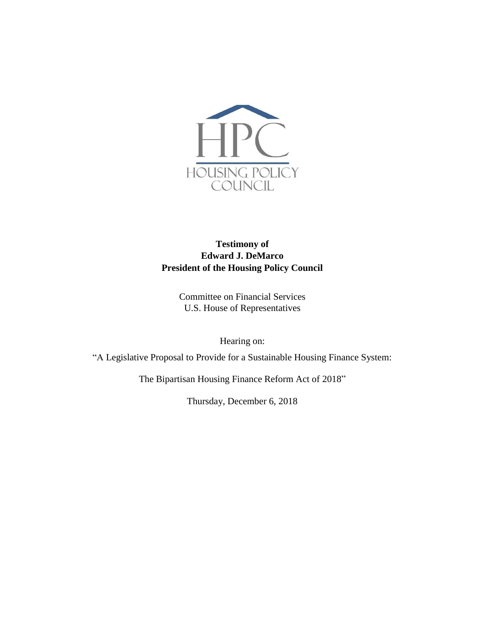

# **Testimony of Edward J. DeMarco President of the Housing Policy Council**

Committee on Financial Services U.S. House of Representatives

Hearing on:

"A Legislative Proposal to Provide for a Sustainable Housing Finance System:

The Bipartisan Housing Finance Reform Act of 2018"

Thursday, December 6, 2018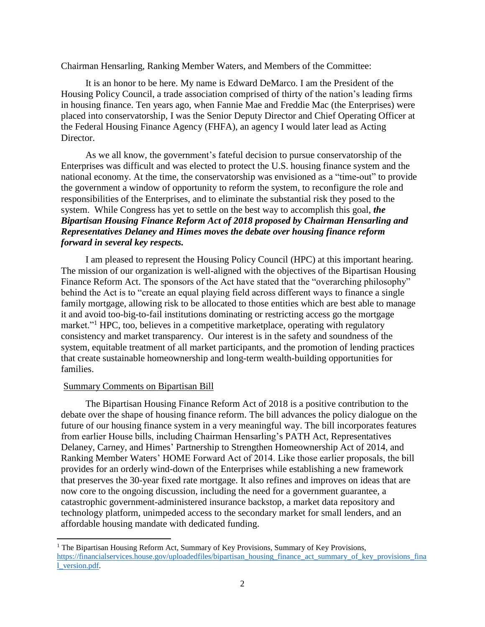Chairman Hensarling, Ranking Member Waters, and Members of the Committee:

It is an honor to be here. My name is Edward DeMarco. I am the President of the Housing Policy Council, a trade association comprised of thirty of the nation's leading firms in housing finance. Ten years ago, when Fannie Mae and Freddie Mac (the Enterprises) were placed into conservatorship, I was the Senior Deputy Director and Chief Operating Officer at the Federal Housing Finance Agency (FHFA), an agency I would later lead as Acting Director.

As we all know, the government's fateful decision to pursue conservatorship of the Enterprises was difficult and was elected to protect the U.S. housing finance system and the national economy. At the time, the conservatorship was envisioned as a "time-out" to provide the government a window of opportunity to reform the system, to reconfigure the role and responsibilities of the Enterprises, and to eliminate the substantial risk they posed to the system. While Congress has yet to settle on the best way to accomplish this goal, *the Bipartisan Housing Finance Reform Act of 2018 proposed by Chairman Hensarling and Representatives Delaney and Himes moves the debate over housing finance reform forward in several key respects.* 

I am pleased to represent the Housing Policy Council (HPC) at this important hearing. The mission of our organization is well-aligned with the objectives of the Bipartisan Housing Finance Reform Act. The sponsors of the Act have stated that the "overarching philosophy" behind the Act is to "create an equal playing field across different ways to finance a single family mortgage, allowing risk to be allocated to those entities which are best able to manage it and avoid too-big-to-fail institutions dominating or restricting access go the mortgage market."<sup>1</sup> HPC, too, believes in a competitive marketplace, operating with regulatory consistency and market transparency. Our interest is in the safety and soundness of the system, equitable treatment of all market participants, and the promotion of lending practices that create sustainable homeownership and long-term wealth-building opportunities for families.

#### Summary Comments on Bipartisan Bill

l

The Bipartisan Housing Finance Reform Act of 2018 is a positive contribution to the debate over the shape of housing finance reform. The bill advances the policy dialogue on the future of our housing finance system in a very meaningful way. The bill incorporates features from earlier House bills, including Chairman Hensarling's PATH Act, Representatives Delaney, Carney, and Himes' Partnership to Strengthen Homeownership Act of 2014, and Ranking Member Waters' HOME Forward Act of 2014. Like those earlier proposals, the bill provides for an orderly wind-down of the Enterprises while establishing a new framework that preserves the 30-year fixed rate mortgage. It also refines and improves on ideas that are now core to the ongoing discussion, including the need for a government guarantee, a catastrophic government-administered insurance backstop, a market data repository and technology platform, unimpeded access to the secondary market for small lenders, and an affordable housing mandate with dedicated funding.

<sup>&</sup>lt;sup>1</sup> The Bipartisan Housing Reform Act, Summary of Key Provisions, Summary of Key Provisions, [https://financialservices.house.gov/uploadedfiles/bipartisan\\_housing\\_finance\\_act\\_summary\\_of\\_key\\_provisions\\_fina](https://financialservices.house.gov/uploadedfiles/bipartisan_housing_finance_act_summary_of_key_provisions_final_version.pdf) [l\\_version.pdf.](https://financialservices.house.gov/uploadedfiles/bipartisan_housing_finance_act_summary_of_key_provisions_final_version.pdf)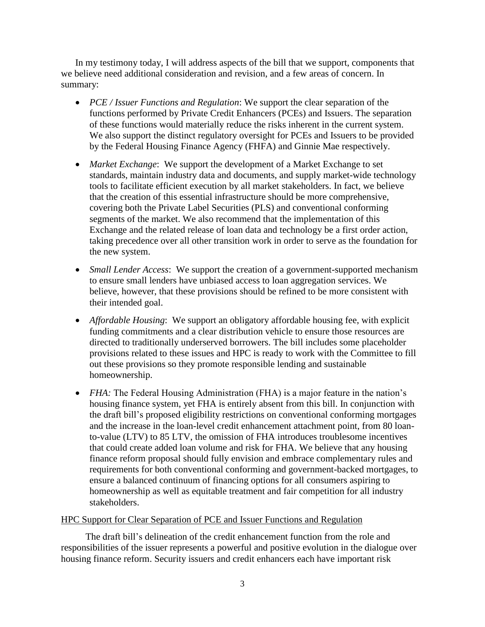In my testimony today, I will address aspects of the bill that we support, components that we believe need additional consideration and revision, and a few areas of concern. In summary:

- *PCE / Issuer Functions and Regulation*: We support the clear separation of the functions performed by Private Credit Enhancers (PCEs) and Issuers. The separation of these functions would materially reduce the risks inherent in the current system. We also support the distinct regulatory oversight for PCEs and Issuers to be provided by the Federal Housing Finance Agency (FHFA) and Ginnie Mae respectively.
- *Market Exchange*: We support the development of a Market Exchange to set standards, maintain industry data and documents, and supply market-wide technology tools to facilitate efficient execution by all market stakeholders. In fact, we believe that the creation of this essential infrastructure should be more comprehensive, covering both the Private Label Securities (PLS) and conventional conforming segments of the market. We also recommend that the implementation of this Exchange and the related release of loan data and technology be a first order action, taking precedence over all other transition work in order to serve as the foundation for the new system.
- *Small Lender Access*: We support the creation of a government-supported mechanism to ensure small lenders have unbiased access to loan aggregation services. We believe, however, that these provisions should be refined to be more consistent with their intended goal.
- *Affordable Housing*: We support an obligatory affordable housing fee, with explicit funding commitments and a clear distribution vehicle to ensure those resources are directed to traditionally underserved borrowers. The bill includes some placeholder provisions related to these issues and HPC is ready to work with the Committee to fill out these provisions so they promote responsible lending and sustainable homeownership.
- *FHA*: The Federal Housing Administration (FHA) is a major feature in the nation's housing finance system, yet FHA is entirely absent from this bill. In conjunction with the draft bill's proposed eligibility restrictions on conventional conforming mortgages and the increase in the loan-level credit enhancement attachment point, from 80 loanto-value (LTV) to 85 LTV, the omission of FHA introduces troublesome incentives that could create added loan volume and risk for FHA. We believe that any housing finance reform proposal should fully envision and embrace complementary rules and requirements for both conventional conforming and government-backed mortgages, to ensure a balanced continuum of financing options for all consumers aspiring to homeownership as well as equitable treatment and fair competition for all industry stakeholders.

# HPC Support for Clear Separation of PCE and Issuer Functions and Regulation

The draft bill's delineation of the credit enhancement function from the role and responsibilities of the issuer represents a powerful and positive evolution in the dialogue over housing finance reform. Security issuers and credit enhancers each have important risk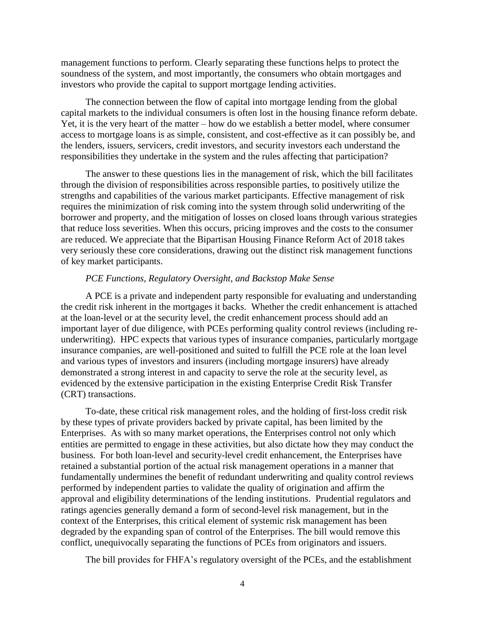management functions to perform. Clearly separating these functions helps to protect the soundness of the system, and most importantly, the consumers who obtain mortgages and investors who provide the capital to support mortgage lending activities.

The connection between the flow of capital into mortgage lending from the global capital markets to the individual consumers is often lost in the housing finance reform debate. Yet, it is the very heart of the matter – how do we establish a better model, where consumer access to mortgage loans is as simple, consistent, and cost-effective as it can possibly be, and the lenders, issuers, servicers, credit investors, and security investors each understand the responsibilities they undertake in the system and the rules affecting that participation?

The answer to these questions lies in the management of risk, which the bill facilitates through the division of responsibilities across responsible parties, to positively utilize the strengths and capabilities of the various market participants. Effective management of risk requires the minimization of risk coming into the system through solid underwriting of the borrower and property, and the mitigation of losses on closed loans through various strategies that reduce loss severities. When this occurs, pricing improves and the costs to the consumer are reduced. We appreciate that the Bipartisan Housing Finance Reform Act of 2018 takes very seriously these core considerations, drawing out the distinct risk management functions of key market participants.

## *PCE Functions, Regulatory Oversight, and Backstop Make Sense*

A PCE is a private and independent party responsible for evaluating and understanding the credit risk inherent in the mortgages it backs. Whether the credit enhancement is attached at the loan-level or at the security level, the credit enhancement process should add an important layer of due diligence, with PCEs performing quality control reviews (including reunderwriting). HPC expects that various types of insurance companies, particularly mortgage insurance companies, are well-positioned and suited to fulfill the PCE role at the loan level and various types of investors and insurers (including mortgage insurers) have already demonstrated a strong interest in and capacity to serve the role at the security level, as evidenced by the extensive participation in the existing Enterprise Credit Risk Transfer (CRT) transactions.

To-date, these critical risk management roles, and the holding of first-loss credit risk by these types of private providers backed by private capital, has been limited by the Enterprises. As with so many market operations, the Enterprises control not only which entities are permitted to engage in these activities, but also dictate how they may conduct the business. For both loan-level and security-level credit enhancement, the Enterprises have retained a substantial portion of the actual risk management operations in a manner that fundamentally undermines the benefit of redundant underwriting and quality control reviews performed by independent parties to validate the quality of origination and affirm the approval and eligibility determinations of the lending institutions. Prudential regulators and ratings agencies generally demand a form of second-level risk management, but in the context of the Enterprises, this critical element of systemic risk management has been degraded by the expanding span of control of the Enterprises. The bill would remove this conflict, unequivocally separating the functions of PCEs from originators and issuers.

The bill provides for FHFA's regulatory oversight of the PCEs, and the establishment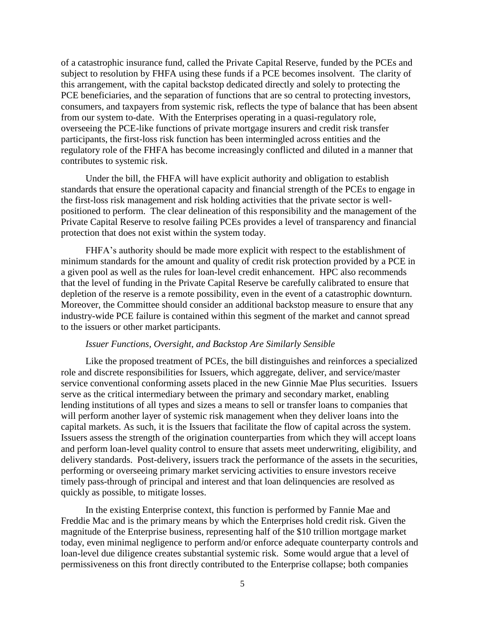of a catastrophic insurance fund, called the Private Capital Reserve, funded by the PCEs and subject to resolution by FHFA using these funds if a PCE becomes insolvent. The clarity of this arrangement, with the capital backstop dedicated directly and solely to protecting the PCE beneficiaries, and the separation of functions that are so central to protecting investors, consumers, and taxpayers from systemic risk, reflects the type of balance that has been absent from our system to-date. With the Enterprises operating in a quasi-regulatory role, overseeing the PCE-like functions of private mortgage insurers and credit risk transfer participants, the first-loss risk function has been intermingled across entities and the regulatory role of the FHFA has become increasingly conflicted and diluted in a manner that contributes to systemic risk.

Under the bill, the FHFA will have explicit authority and obligation to establish standards that ensure the operational capacity and financial strength of the PCEs to engage in the first-loss risk management and risk holding activities that the private sector is wellpositioned to perform. The clear delineation of this responsibility and the management of the Private Capital Reserve to resolve failing PCEs provides a level of transparency and financial protection that does not exist within the system today.

FHFA's authority should be made more explicit with respect to the establishment of minimum standards for the amount and quality of credit risk protection provided by a PCE in a given pool as well as the rules for loan-level credit enhancement. HPC also recommends that the level of funding in the Private Capital Reserve be carefully calibrated to ensure that depletion of the reserve is a remote possibility, even in the event of a catastrophic downturn. Moreover, the Committee should consider an additional backstop measure to ensure that any industry-wide PCE failure is contained within this segment of the market and cannot spread to the issuers or other market participants.

## *Issuer Functions, Oversight, and Backstop Are Similarly Sensible*

Like the proposed treatment of PCEs, the bill distinguishes and reinforces a specialized role and discrete responsibilities for Issuers, which aggregate, deliver, and service/master service conventional conforming assets placed in the new Ginnie Mae Plus securities. Issuers serve as the critical intermediary between the primary and secondary market, enabling lending institutions of all types and sizes a means to sell or transfer loans to companies that will perform another layer of systemic risk management when they deliver loans into the capital markets. As such, it is the Issuers that facilitate the flow of capital across the system. Issuers assess the strength of the origination counterparties from which they will accept loans and perform loan-level quality control to ensure that assets meet underwriting, eligibility, and delivery standards. Post-delivery, issuers track the performance of the assets in the securities, performing or overseeing primary market servicing activities to ensure investors receive timely pass-through of principal and interest and that loan delinquencies are resolved as quickly as possible, to mitigate losses.

In the existing Enterprise context, this function is performed by Fannie Mae and Freddie Mac and is the primary means by which the Enterprises hold credit risk. Given the magnitude of the Enterprise business, representing half of the \$10 trillion mortgage market today, even minimal negligence to perform and/or enforce adequate counterparty controls and loan-level due diligence creates substantial systemic risk. Some would argue that a level of permissiveness on this front directly contributed to the Enterprise collapse; both companies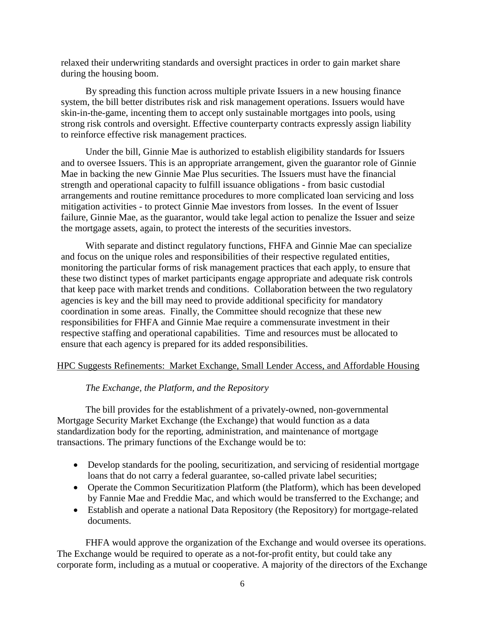relaxed their underwriting standards and oversight practices in order to gain market share during the housing boom.

By spreading this function across multiple private Issuers in a new housing finance system, the bill better distributes risk and risk management operations. Issuers would have skin-in-the-game, incenting them to accept only sustainable mortgages into pools, using strong risk controls and oversight. Effective counterparty contracts expressly assign liability to reinforce effective risk management practices.

Under the bill, Ginnie Mae is authorized to establish eligibility standards for Issuers and to oversee Issuers. This is an appropriate arrangement, given the guarantor role of Ginnie Mae in backing the new Ginnie Mae Plus securities. The Issuers must have the financial strength and operational capacity to fulfill issuance obligations - from basic custodial arrangements and routine remittance procedures to more complicated loan servicing and loss mitigation activities - to protect Ginnie Mae investors from losses. In the event of Issuer failure, Ginnie Mae, as the guarantor, would take legal action to penalize the Issuer and seize the mortgage assets, again, to protect the interests of the securities investors.

With separate and distinct regulatory functions, FHFA and Ginnie Mae can specialize and focus on the unique roles and responsibilities of their respective regulated entities, monitoring the particular forms of risk management practices that each apply, to ensure that these two distinct types of market participants engage appropriate and adequate risk controls that keep pace with market trends and conditions. Collaboration between the two regulatory agencies is key and the bill may need to provide additional specificity for mandatory coordination in some areas. Finally, the Committee should recognize that these new responsibilities for FHFA and Ginnie Mae require a commensurate investment in their respective staffing and operational capabilities. Time and resources must be allocated to ensure that each agency is prepared for its added responsibilities.

## HPC Suggests Refinements: Market Exchange, Small Lender Access, and Affordable Housing

## *The Exchange, the Platform, and the Repository*

The bill provides for the establishment of a privately-owned, non-governmental Mortgage Security Market Exchange (the Exchange) that would function as a data standardization body for the reporting, administration, and maintenance of mortgage transactions. The primary functions of the Exchange would be to:

- Develop standards for the pooling, securitization, and servicing of residential mortgage loans that do not carry a federal guarantee, so-called private label securities;
- Operate the Common Securitization Platform (the Platform), which has been developed by Fannie Mae and Freddie Mac, and which would be transferred to the Exchange; and
- Establish and operate a national Data Repository (the Repository) for mortgage-related documents.

FHFA would approve the organization of the Exchange and would oversee its operations. The Exchange would be required to operate as a not-for-profit entity, but could take any corporate form, including as a mutual or cooperative. A majority of the directors of the Exchange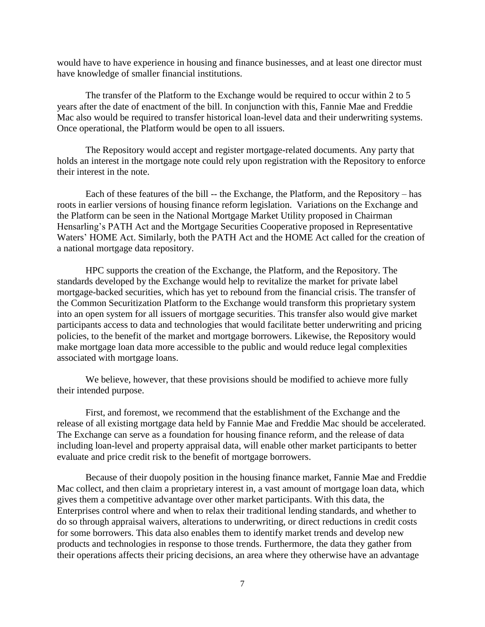would have to have experience in housing and finance businesses, and at least one director must have knowledge of smaller financial institutions.

The transfer of the Platform to the Exchange would be required to occur within 2 to 5 years after the date of enactment of the bill. In conjunction with this, Fannie Mae and Freddie Mac also would be required to transfer historical loan-level data and their underwriting systems. Once operational, the Platform would be open to all issuers.

The Repository would accept and register mortgage-related documents. Any party that holds an interest in the mortgage note could rely upon registration with the Repository to enforce their interest in the note.

Each of these features of the bill -- the Exchange, the Platform, and the Repository – has roots in earlier versions of housing finance reform legislation. Variations on the Exchange and the Platform can be seen in the National Mortgage Market Utility proposed in Chairman Hensarling's PATH Act and the Mortgage Securities Cooperative proposed in Representative Waters' HOME Act. Similarly, both the PATH Act and the HOME Act called for the creation of a national mortgage data repository.

HPC supports the creation of the Exchange, the Platform, and the Repository. The standards developed by the Exchange would help to revitalize the market for private label mortgage-backed securities, which has yet to rebound from the financial crisis. The transfer of the Common Securitization Platform to the Exchange would transform this proprietary system into an open system for all issuers of mortgage securities. This transfer also would give market participants access to data and technologies that would facilitate better underwriting and pricing policies, to the benefit of the market and mortgage borrowers. Likewise, the Repository would make mortgage loan data more accessible to the public and would reduce legal complexities associated with mortgage loans.

We believe, however, that these provisions should be modified to achieve more fully their intended purpose.

First, and foremost, we recommend that the establishment of the Exchange and the release of all existing mortgage data held by Fannie Mae and Freddie Mac should be accelerated. The Exchange can serve as a foundation for housing finance reform, and the release of data including loan-level and property appraisal data, will enable other market participants to better evaluate and price credit risk to the benefit of mortgage borrowers.

Because of their duopoly position in the housing finance market, Fannie Mae and Freddie Mac collect, and then claim a proprietary interest in, a vast amount of mortgage loan data, which gives them a competitive advantage over other market participants. With this data, the Enterprises control where and when to relax their traditional lending standards, and whether to do so through appraisal waivers, alterations to underwriting, or direct reductions in credit costs for some borrowers. This data also enables them to identify market trends and develop new products and technologies in response to those trends. Furthermore, the data they gather from their operations affects their pricing decisions, an area where they otherwise have an advantage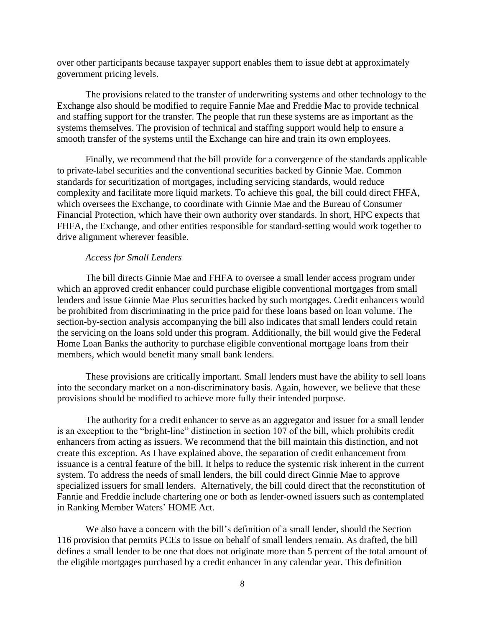over other participants because taxpayer support enables them to issue debt at approximately government pricing levels.

The provisions related to the transfer of underwriting systems and other technology to the Exchange also should be modified to require Fannie Mae and Freddie Mac to provide technical and staffing support for the transfer. The people that run these systems are as important as the systems themselves. The provision of technical and staffing support would help to ensure a smooth transfer of the systems until the Exchange can hire and train its own employees.

Finally, we recommend that the bill provide for a convergence of the standards applicable to private-label securities and the conventional securities backed by Ginnie Mae. Common standards for securitization of mortgages, including servicing standards, would reduce complexity and facilitate more liquid markets. To achieve this goal, the bill could direct FHFA, which oversees the Exchange, to coordinate with Ginnie Mae and the Bureau of Consumer Financial Protection, which have their own authority over standards. In short, HPC expects that FHFA, the Exchange, and other entities responsible for standard-setting would work together to drive alignment wherever feasible.

## *Access for Small Lenders*

The bill directs Ginnie Mae and FHFA to oversee a small lender access program under which an approved credit enhancer could purchase eligible conventional mortgages from small lenders and issue Ginnie Mae Plus securities backed by such mortgages. Credit enhancers would be prohibited from discriminating in the price paid for these loans based on loan volume. The section-by-section analysis accompanying the bill also indicates that small lenders could retain the servicing on the loans sold under this program. Additionally, the bill would give the Federal Home Loan Banks the authority to purchase eligible conventional mortgage loans from their members, which would benefit many small bank lenders.

These provisions are critically important. Small lenders must have the ability to sell loans into the secondary market on a non-discriminatory basis. Again, however, we believe that these provisions should be modified to achieve more fully their intended purpose.

The authority for a credit enhancer to serve as an aggregator and issuer for a small lender is an exception to the "bright-line" distinction in section 107 of the bill, which prohibits credit enhancers from acting as issuers. We recommend that the bill maintain this distinction, and not create this exception. As I have explained above, the separation of credit enhancement from issuance is a central feature of the bill. It helps to reduce the systemic risk inherent in the current system. To address the needs of small lenders, the bill could direct Ginnie Mae to approve specialized issuers for small lenders. Alternatively, the bill could direct that the reconstitution of Fannie and Freddie include chartering one or both as lender-owned issuers such as contemplated in Ranking Member Waters' HOME Act.

We also have a concern with the bill's definition of a small lender, should the Section 116 provision that permits PCEs to issue on behalf of small lenders remain. As drafted, the bill defines a small lender to be one that does not originate more than 5 percent of the total amount of the eligible mortgages purchased by a credit enhancer in any calendar year. This definition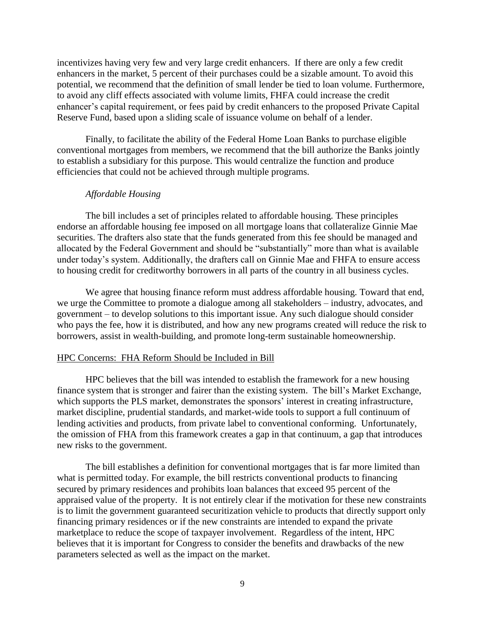incentivizes having very few and very large credit enhancers. If there are only a few credit enhancers in the market, 5 percent of their purchases could be a sizable amount. To avoid this potential, we recommend that the definition of small lender be tied to loan volume. Furthermore, to avoid any cliff effects associated with volume limits, FHFA could increase the credit enhancer's capital requirement, or fees paid by credit enhancers to the proposed Private Capital Reserve Fund, based upon a sliding scale of issuance volume on behalf of a lender.

Finally, to facilitate the ability of the Federal Home Loan Banks to purchase eligible conventional mortgages from members, we recommend that the bill authorize the Banks jointly to establish a subsidiary for this purpose. This would centralize the function and produce efficiencies that could not be achieved through multiple programs.

## *Affordable Housing*

The bill includes a set of principles related to affordable housing. These principles endorse an affordable housing fee imposed on all mortgage loans that collateralize Ginnie Mae securities. The drafters also state that the funds generated from this fee should be managed and allocated by the Federal Government and should be "substantially" more than what is available under today's system. Additionally, the drafters call on Ginnie Mae and FHFA to ensure access to housing credit for creditworthy borrowers in all parts of the country in all business cycles.

We agree that housing finance reform must address affordable housing. Toward that end, we urge the Committee to promote a dialogue among all stakeholders – industry, advocates, and government – to develop solutions to this important issue. Any such dialogue should consider who pays the fee, how it is distributed, and how any new programs created will reduce the risk to borrowers, assist in wealth-building, and promote long-term sustainable homeownership.

#### HPC Concerns: FHA Reform Should be Included in Bill

HPC believes that the bill was intended to establish the framework for a new housing finance system that is stronger and fairer than the existing system. The bill's Market Exchange, which supports the PLS market, demonstrates the sponsors' interest in creating infrastructure, market discipline, prudential standards, and market-wide tools to support a full continuum of lending activities and products, from private label to conventional conforming. Unfortunately, the omission of FHA from this framework creates a gap in that continuum, a gap that introduces new risks to the government.

The bill establishes a definition for conventional mortgages that is far more limited than what is permitted today. For example, the bill restricts conventional products to financing secured by primary residences and prohibits loan balances that exceed 95 percent of the appraised value of the property. It is not entirely clear if the motivation for these new constraints is to limit the government guaranteed securitization vehicle to products that directly support only financing primary residences or if the new constraints are intended to expand the private marketplace to reduce the scope of taxpayer involvement. Regardless of the intent, HPC believes that it is important for Congress to consider the benefits and drawbacks of the new parameters selected as well as the impact on the market.